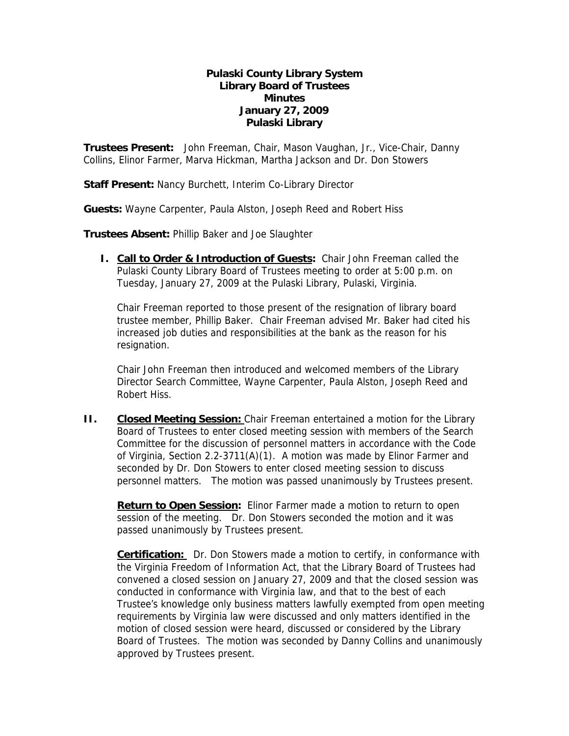## **Pulaski County Library System Library Board of Trustees Minutes January 27, 2009 Pulaski Library**

**Trustees Present:** John Freeman, Chair, Mason Vaughan, Jr., Vice-Chair, Danny Collins, Elinor Farmer, Marva Hickman, Martha Jackson and Dr. Don Stowers

**Staff Present:** Nancy Burchett, Interim Co-Library Director

**Guests:** Wayne Carpenter, Paula Alston, Joseph Reed and Robert Hiss

**Trustees Absent:** Phillip Baker and Joe Slaughter

**I. Call to Order & Introduction of Guests:** Chair John Freeman called the Pulaski County Library Board of Trustees meeting to order at 5:00 p.m. on Tuesday, January 27, 2009 at the Pulaski Library, Pulaski, Virginia.

Chair Freeman reported to those present of the resignation of library board trustee member, Phillip Baker. Chair Freeman advised Mr. Baker had cited his increased job duties and responsibilities at the bank as the reason for his resignation.

Chair John Freeman then introduced and welcomed members of the Library Director Search Committee, Wayne Carpenter, Paula Alston, Joseph Reed and Robert Hiss.

**II.** Closed Meeting Session: Chair Freeman entertained a motion for the Library Board of Trustees to enter closed meeting session with members of the Search Committee for the discussion of personnel matters in accordance with the Code of Virginia, Section 2.2-3711(A)(1). A motion was made by Elinor Farmer and seconded by Dr. Don Stowers to enter closed meeting session to discuss personnel matters. The motion was passed unanimously by Trustees present.

Return to Open Session: Elinor Farmer made a motion to return to open session of the meeting. Dr. Don Stowers seconded the motion and it was passed unanimously by Trustees present.

**Certification:** Dr. Don Stowers made a motion to certify, in conformance with the Virginia Freedom of Information Act, that the Library Board of Trustees had convened a closed session on January 27, 2009 and that the closed session was conducted in conformance with Virginia law, and that to the best of each Trustee's knowledge only business matters lawfully exempted from open meeting requirements by Virginia law were discussed and only matters identified in the motion of closed session were heard, discussed or considered by the Library Board of Trustees. The motion was seconded by Danny Collins and unanimously approved by Trustees present.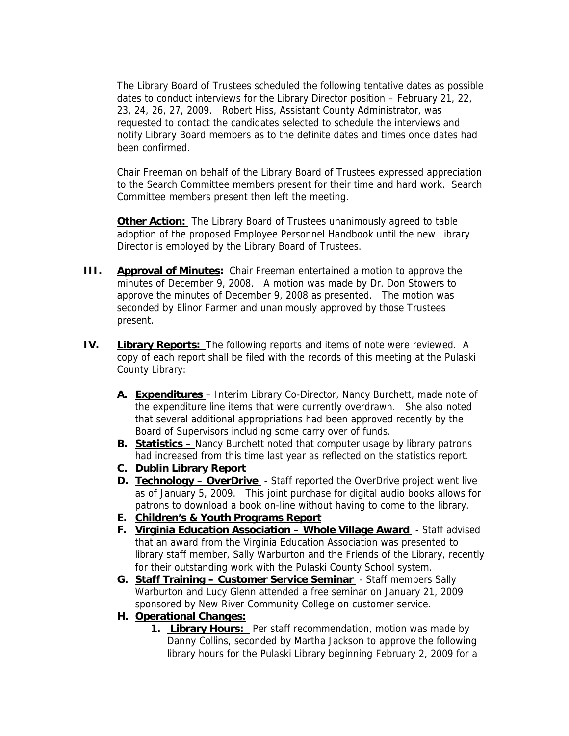The Library Board of Trustees scheduled the following tentative dates as possible dates to conduct interviews for the Library Director position – February 21, 22, 23, 24, 26, 27, 2009. Robert Hiss, Assistant County Administrator, was requested to contact the candidates selected to schedule the interviews and notify Library Board members as to the definite dates and times once dates had been confirmed.

Chair Freeman on behalf of the Library Board of Trustees expressed appreciation to the Search Committee members present for their time and hard work. Search Committee members present then left the meeting.

**Other Action:** The Library Board of Trustees unanimously agreed to table adoption of the proposed Employee Personnel Handbook until the new Library Director is employed by the Library Board of Trustees.

- **III.** Approval of Minutes: Chair Freeman entertained a motion to approve the minutes of December 9, 2008. A motion was made by Dr. Don Stowers to approve the minutes of December 9, 2008 as presented. The motion was seconded by Elinor Farmer and unanimously approved by those Trustees present.
- **IV. Library Reports:** The following reports and items of note were reviewed. A copy of each report shall be filed with the records of this meeting at the Pulaski County Library:
	- **A. Expenditures** Interim Library Co-Director, Nancy Burchett, made note of the expenditure line items that were currently overdrawn. She also noted that several additional appropriations had been approved recently by the Board of Supervisors including some carry over of funds.
	- **B. Statistics** Nancy Burchett noted that computer usage by library patrons had increased from this time last year as reflected on the statistics report.
	- **C. Dublin Library Report**
	- **D. Technology OverDrive**  Staff reported the OverDrive project went live as of January 5, 2009. This joint purchase for digital audio books allows for patrons to download a book on-line without having to come to the library.
	- **E. Children's & Youth Programs Report**
	- **F. Virginia Education Association Whole Village Award**  Staff advised that an award from the Virginia Education Association was presented to library staff member, Sally Warburton and the Friends of the Library, recently for their outstanding work with the Pulaski County School system.
	- **G. Staff Training Customer Service Seminar**  Staff members Sally Warburton and Lucy Glenn attended a free seminar on January 21, 2009 sponsored by New River Community College on customer service.
	- **H. Operational Changes:**
		- **1. Library Hours:** Per staff recommendation, motion was made by Danny Collins, seconded by Martha Jackson to approve the following library hours for the Pulaski Library beginning February 2, 2009 for a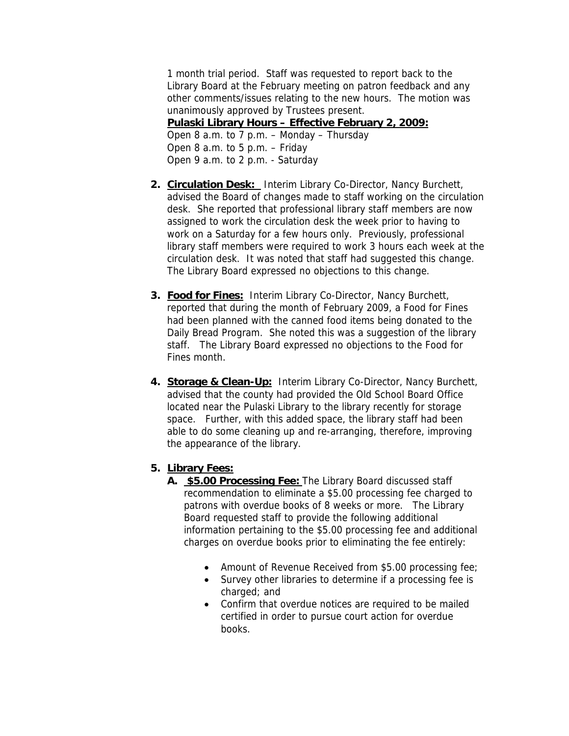1 month trial period. Staff was requested to report back to the Library Board at the February meeting on patron feedback and any other comments/issues relating to the new hours. The motion was unanimously approved by Trustees present.

**Pulaski Library Hours – Effective February 2, 2009:** Open 8 a.m. to 7 p.m. – Monday – Thursday Open 8 a.m. to 5 p.m. – Friday Open 9 a.m. to 2 p.m. - Saturday

- **2. Circulation Desk:** Interim Library Co-Director, Nancy Burchett, advised the Board of changes made to staff working on the circulation desk. She reported that professional library staff members are now assigned to work the circulation desk the week prior to having to work on a Saturday for a few hours only. Previously, professional library staff members were required to work 3 hours each week at the circulation desk. It was noted that staff had suggested this change. The Library Board expressed no objections to this change.
- **3. Food for Fines:** Interim Library Co-Director, Nancy Burchett, reported that during the month of February 2009, a Food for Fines had been planned with the canned food items being donated to the Daily Bread Program. She noted this was a suggestion of the library staff. The Library Board expressed no objections to the Food for Fines month.
- **4. Storage & Clean-Up:** Interim Library Co-Director, Nancy Burchett, advised that the county had provided the Old School Board Office located near the Pulaski Library to the library recently for storage space. Further, with this added space, the library staff had been able to do some cleaning up and re-arranging, therefore, improving the appearance of the library.

## **5. Library Fees:**

- **A. \$5.00 Processing Fee:** The Library Board discussed staff recommendation to eliminate a \$5.00 processing fee charged to patrons with overdue books of 8 weeks or more. The Library Board requested staff to provide the following additional information pertaining to the \$5.00 processing fee and additional charges on overdue books prior to eliminating the fee entirely:
	- Amount of Revenue Received from \$5.00 processing fee;
	- Survey other libraries to determine if a processing fee is charged; and
	- Confirm that overdue notices are required to be mailed certified in order to pursue court action for overdue books.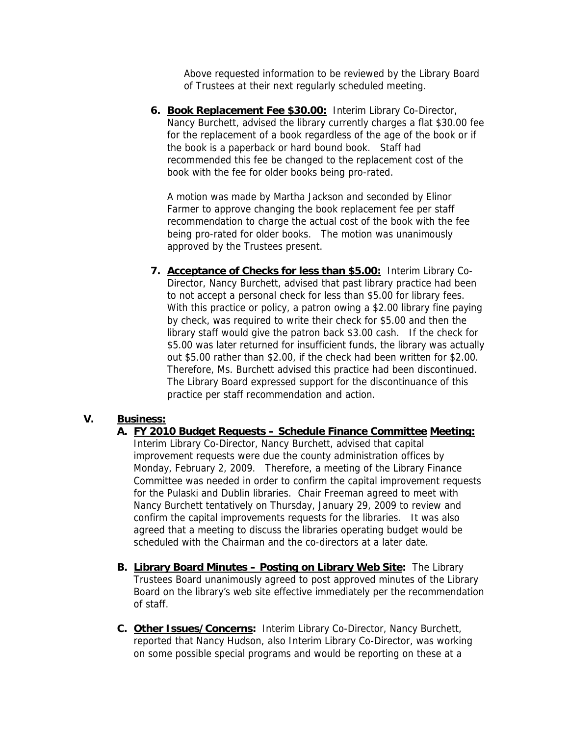Above requested information to be reviewed by the Library Board of Trustees at their next regularly scheduled meeting.

**6. Book Replacement Fee \$30.00:** Interim Library Co-Director, Nancy Burchett, advised the library currently charges a flat \$30.00 fee for the replacement of a book regardless of the age of the book or if the book is a paperback or hard bound book. Staff had recommended this fee be changed to the replacement cost of the book with the fee for older books being pro-rated.

A motion was made by Martha Jackson and seconded by Elinor Farmer to approve changing the book replacement fee per staff recommendation to charge the actual cost of the book with the fee being pro-rated for older books. The motion was unanimously approved by the Trustees present.

**7. Acceptance of Checks for less than \$5.00:** Interim Library Co-Director, Nancy Burchett, advised that past library practice had been to not accept a personal check for less than \$5.00 for library fees. With this practice or policy, a patron owing a \$2.00 library fine paying by check, was required to write their check for \$5.00 and then the library staff would give the patron back \$3.00 cash. If the check for \$5.00 was later returned for insufficient funds, the library was actually out \$5.00 rather than \$2.00, if the check had been written for \$2.00. Therefore, Ms. Burchett advised this practice had been discontinued. The Library Board expressed support for the discontinuance of this practice per staff recommendation and action.

## **V. Business:**

- **A. FY 2010 Budget Requests Schedule Finance Committee Meeting:**  Interim Library Co-Director, Nancy Burchett, advised that capital improvement requests were due the county administration offices by Monday, February 2, 2009. Therefore, a meeting of the Library Finance Committee was needed in order to confirm the capital improvement requests for the Pulaski and Dublin libraries. Chair Freeman agreed to meet with Nancy Burchett tentatively on Thursday, January 29, 2009 to review and confirm the capital improvements requests for the libraries. It was also agreed that a meeting to discuss the libraries operating budget would be scheduled with the Chairman and the co-directors at a later date.
- **B. Library Board Minutes Posting on Library Web Site:** The Library Trustees Board unanimously agreed to post approved minutes of the Library Board on the library's web site effective immediately per the recommendation of staff.
- **C. Other Issues/Concerns:** Interim Library Co-Director, Nancy Burchett, reported that Nancy Hudson, also Interim Library Co-Director, was working on some possible special programs and would be reporting on these at a